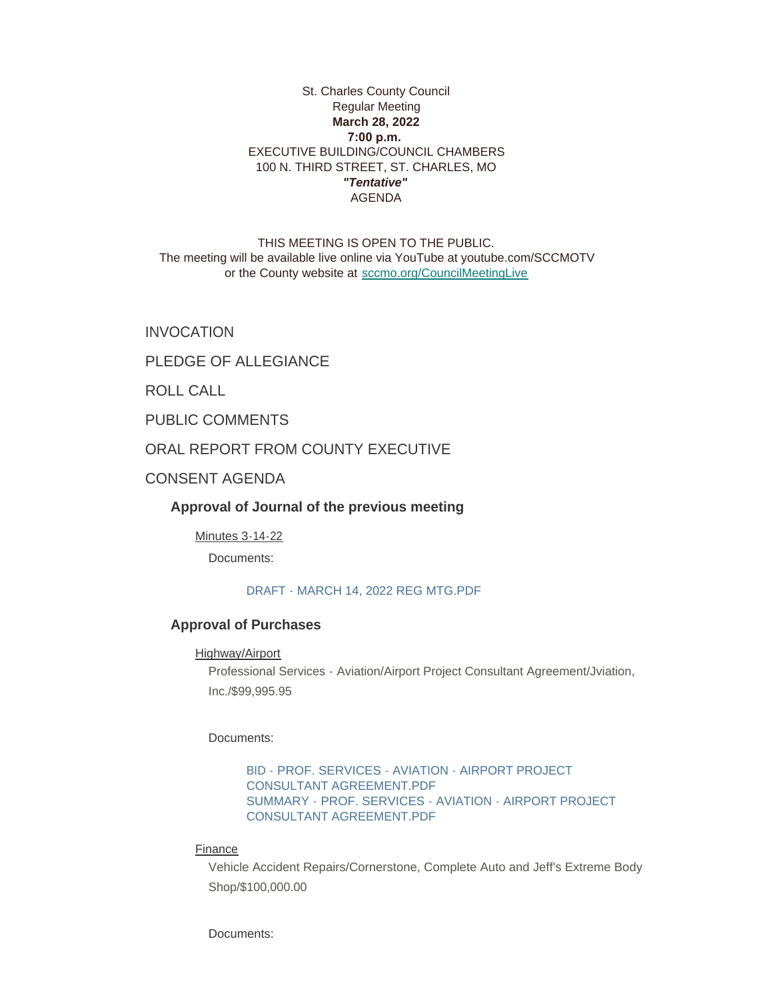## St. Charles County Council Regular Meeting **March 28, 2022 7:00 p.m.**  EXECUTIVE BUILDING/COUNCIL CHAMBERS 100 N. THIRD STREET, ST. CHARLES, MO *"Tentative"* AGENDA

THIS MEETING IS OPEN TO THE PUBLIC. The meeting will be available live online via YouTube at youtube.com/SCCMOTV or the County website at [sccmo.org/CouncilMeetingLive](https://sccmo.org/CouncilMeetingLive)

INVOCATION

PLEDGE OF ALLEGIANCE

ROLL CALL

PUBLIC COMMENTS

ORAL REPORT FROM COUNTY EXECUTIVE

CONSENT AGENDA

**Approval of Journal of the previous meeting**

Minutes 3-14-22

Documents:

## [DRAFT - MARCH 14, 2022 REG MTG.PDF](https://www.sccmo.org/AgendaCenter/ViewFile/Item/10746?fileID=31873)

# **Approval of Purchases**

#### Highway/Airport

Professional Services - Aviation/Airport Project Consultant Agreement/Jviation, Inc./\$99,995.95

Documents:

[BID - PROF. SERVICES - AVIATION - AIRPORT PROJECT](https://www.sccmo.org/AgendaCenter/ViewFile/Item/10742?fileID=31864)  CONSULTANT AGREEMENT.PDF [SUMMARY - PROF. SERVICES - AVIATION - AIRPORT PROJECT](https://www.sccmo.org/AgendaCenter/ViewFile/Item/10742?fileID=31865)  CONSULTANT AGREEMENT.PDF

#### Finance

Vehicle Accident Repairs/Cornerstone, Complete Auto and Jeff's Extreme Body Shop/\$100,000.00

Documents: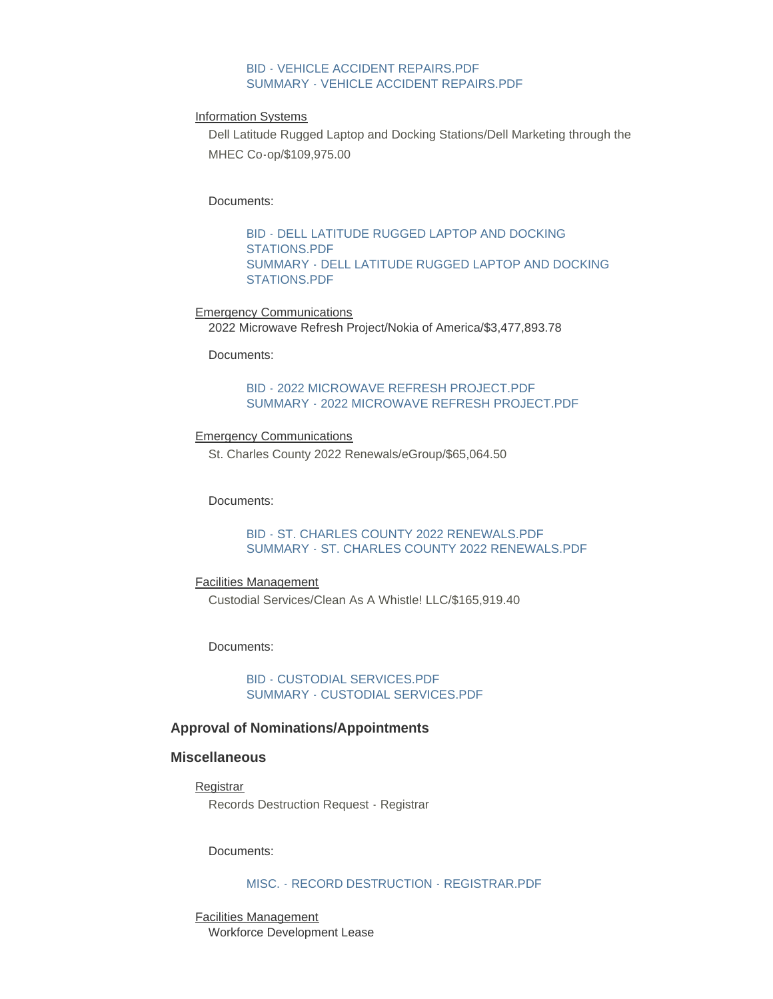#### [BID - VEHICLE ACCIDENT REPAIRS.PDF](https://www.sccmo.org/AgendaCenter/ViewFile/Item/10743?fileID=31866) [SUMMARY - VEHICLE ACCIDENT REPAIRS.PDF](https://www.sccmo.org/AgendaCenter/ViewFile/Item/10743?fileID=31867)

#### Information Systems

Dell Latitude Rugged Laptop and Docking Stations/Dell Marketing through the MHEC Co-op/\$109,975.00

Documents:

[BID - DELL LATITUDE RUGGED LAPTOP AND DOCKING](https://www.sccmo.org/AgendaCenter/ViewFile/Item/10744?fileID=31868)  STATIONS.PDF [SUMMARY - DELL LATITUDE RUGGED LAPTOP AND DOCKING](https://www.sccmo.org/AgendaCenter/ViewFile/Item/10744?fileID=31869)  STATIONS.PDF

Emergency Communications 2022 Microwave Refresh Project/Nokia of America/\$3,477,893.78

Documents:

## [BID - 2022 MICROWAVE REFRESH PROJECT.PDF](https://www.sccmo.org/AgendaCenter/ViewFile/Item/10752?fileID=31894) [SUMMARY - 2022 MICROWAVE REFRESH PROJECT.PDF](https://www.sccmo.org/AgendaCenter/ViewFile/Item/10752?fileID=31895)

#### Emergency Communications

St. Charles County 2022 Renewals/eGroup/\$65,064.50

Documents:

### [BID - ST. CHARLES COUNTY 2022 RENEWALS.PDF](https://www.sccmo.org/AgendaCenter/ViewFile/Item/10745?fileID=31870) [SUMMARY - ST. CHARLES COUNTY 2022 RENEWALS.PDF](https://www.sccmo.org/AgendaCenter/ViewFile/Item/10745?fileID=31871)

Facilities Management Custodial Services/Clean As A Whistle! LLC/\$165,919.40

Documents:

[BID - CUSTODIAL SERVICES.PDF](https://www.sccmo.org/AgendaCenter/ViewFile/Item/10747?fileID=31874) [SUMMARY - CUSTODIAL SERVICES.PDF](https://www.sccmo.org/AgendaCenter/ViewFile/Item/10747?fileID=31875)

## **Approval of Nominations/Appointments**

## **Miscellaneous**

Registrar Records Destruction Request - Registrar

Documents:

#### [MISC. - RECORD DESTRUCTION - REGISTRAR.PDF](https://www.sccmo.org/AgendaCenter/ViewFile/Item/10751?fileID=31878)

Facilities Management Workforce Development Lease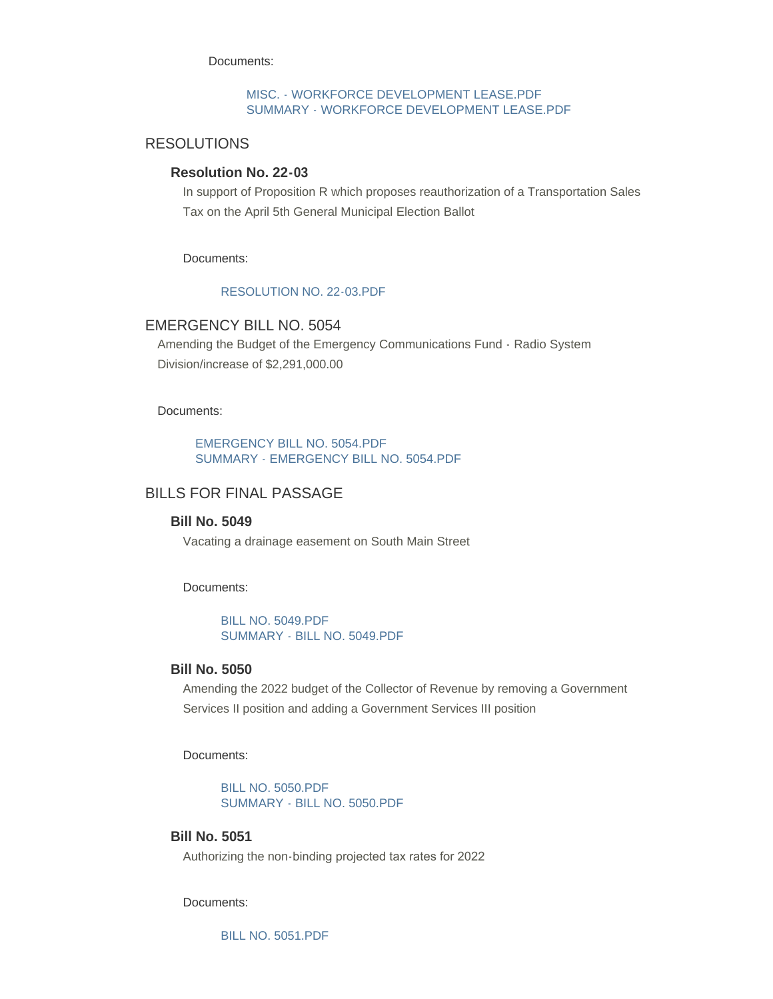Documents:

## [MISC. - WORKFORCE DEVELOPMENT LEASE.PDF](https://www.sccmo.org/AgendaCenter/ViewFile/Item/10748?fileID=31881) [SUMMARY - WORKFORCE DEVELOPMENT LEASE.PDF](https://www.sccmo.org/AgendaCenter/ViewFile/Item/10748?fileID=31877)

# RESOLUTIONS

## **Resolution No. 22-03**

In support of Proposition R which proposes reauthorization of a Transportation Sales Tax on the April 5th General Municipal Election Ballot

Documents:

### [RESOLUTION NO. 22-03.PDF](https://www.sccmo.org/AgendaCenter/ViewFile/Item/10749?fileID=31896)

# EMERGENCY BILL NO. 5054

Amending the Budget of the Emergency Communications Fund - Radio System Division/increase of \$2,291,000.00

Documents:

[EMERGENCY BILL NO. 5054.PDF](https://www.sccmo.org/AgendaCenter/ViewFile/Item/10753?fileID=31886) [SUMMARY - EMERGENCY BILL NO. 5054.PDF](https://www.sccmo.org/AgendaCenter/ViewFile/Item/10753?fileID=31887)

# BILLS FOR FINAL PASSAGE

# **Bill No. 5049**

Vacating a drainage easement on South Main Street

Documents:

[BILL NO. 5049.PDF](https://www.sccmo.org/AgendaCenter/ViewFile/Item/10734?fileID=31854) [SUMMARY - BILL NO. 5049.PDF](https://www.sccmo.org/AgendaCenter/ViewFile/Item/10734?fileID=31855)

#### **Bill No. 5050**

Amending the 2022 budget of the Collector of Revenue by removing a Government Services II position and adding a Government Services III position

Documents:

[BILL NO. 5050.PDF](https://www.sccmo.org/AgendaCenter/ViewFile/Item/10735?fileID=31856) [SUMMARY - BILL NO. 5050.PDF](https://www.sccmo.org/AgendaCenter/ViewFile/Item/10735?fileID=31857)

# **Bill No. 5051**

Authorizing the non-binding projected tax rates for 2022

Documents:

[BILL NO. 5051.PDF](https://www.sccmo.org/AgendaCenter/ViewFile/Item/10736?fileID=31858)